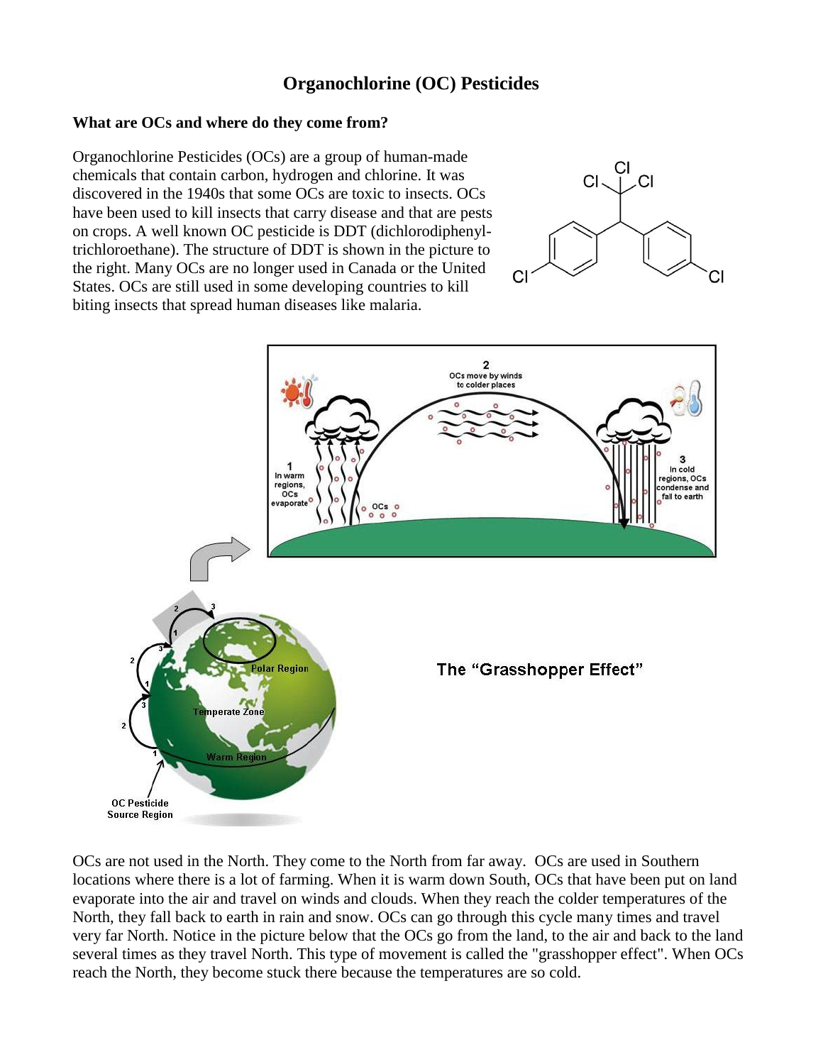## **Organochlorine (OC) Pesticides**

## **What are OCs and where do they come from?**

Organochlorine Pesticides (OCs) are a group of human-made chemicals that contain carbon, hydrogen and chlorine. It was discovered in the 1940s that some OCs are toxic to insects. OCs have been used to kill insects that carry disease and that are pests on crops. A well known OC pesticide is DDT (dichlorodiphenyltrichloroethane). The structure of DDT is shown in the picture to the right. Many OCs are no longer used in Canada or the United States. OCs are still used in some developing countries to kill biting insects that spread human diseases like malaria.





OCs are not used in the North. They come to the North from far away. OCs are used in Southern locations where there is a lot of farming. When it is warm down South, OCs that have been put on land evaporate into the air and travel on winds and clouds. When they reach the colder temperatures of the North, they fall back to earth in rain and snow. OCs can go through this cycle many times and travel very far North. Notice in the picture below that the OCs go from the land, to the air and back to the land several times as they travel North. This type of movement is called the "grasshopper effect". When OCs reach the North, they become stuck there because the temperatures are so cold.